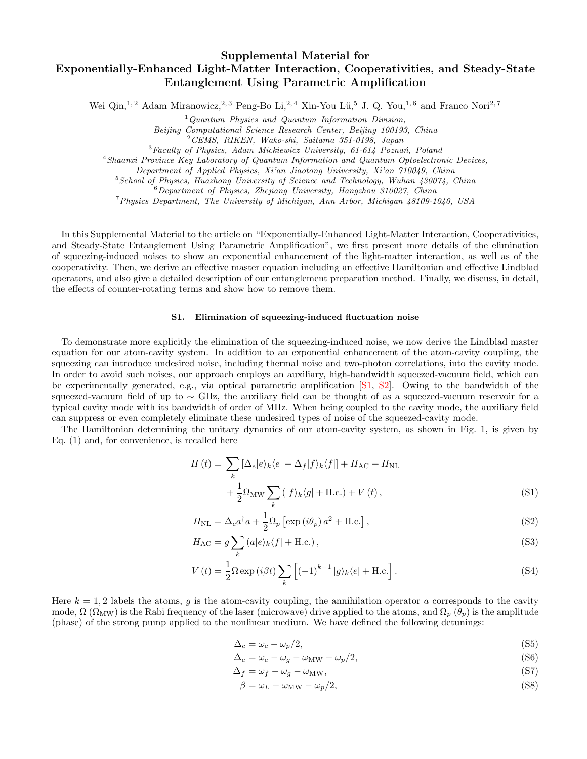## Supplemental Material for Exponentially-Enhanced Light-Matter Interaction, Cooperativities, and Steady-State Entanglement Using Parametric Amplification

Wei Qin,<sup>1, 2</sup> Adam Miranowicz,<sup>2, 3</sup> Peng-Bo Li,<sup>2, 4</sup> Xin-You Lü,<sup>5</sup> J. Q. You,<sup>1, 6</sup> and Franco Nori<sup>2, 7</sup>

 $1$ Quantum Physics and Quantum Information Division, Beijing Computational Science Research Center, Beijing 100193, China <sup>2</sup>CEMS, RIKEN, Wako-shi, Saitama 351-0198, Japan  ${}^{3}$ Faculty of Physics, Adam Mickiewicz University, 61-614 Poznań, Poland

<sup>4</sup>Shaanxi Province Key Laboratory of Quantum Information and Quantum Optoelectronic Devices,

Department of Applied Physics, Xi'an Jiaotong University, Xi'an 710049, China

<sup>5</sup> School of Physics, Huazhong University of Science and Technology, Wuhan 430074, China

 $6$ Department of Physics, Zhejiang University, Hangzhou 310027, China

<sup>7</sup>Physics Department, The University of Michigan, Ann Arbor, Michigan 48109-1040, USA

In this Supplemental Material to the article on "Exponentially-Enhanced Light-Matter Interaction, Cooperativities, and Steady-State Entanglement Using Parametric Amplification", we first present more details of the elimination of squeezing-induced noises to show an exponential enhancement of the light-matter interaction, as well as of the cooperativity. Then, we derive an effective master equation including an effective Hamiltonian and effective Lindblad operators, and also give a detailed description of our entanglement preparation method. Finally, we discuss, in detail, the effects of counter-rotating terms and show how to remove them.

## S1. Elimination of squeezing-induced fluctuation noise

To demonstrate more explicitly the elimination of the squeezing-induced noise, we now derive the Lindblad master equation for our atom-cavity system. In addition to an exponential enhancement of the atom-cavity coupling, the squeezing can introduce undesired noise, including thermal noise and two-photon correlations, into the cavity mode. In order to avoid such noises, our approach employs an auxiliary, high-bandwidth squeezed-vacuum field, which can be experimentally generated, e.g., via optical parametric amplification [\[S1,](#page-10-0) [S2\]](#page-10-1). Owing to the bandwidth of the squeezed-vacuum field of up to ∼ GHz, the auxiliary field can be thought of as a squeezed-vacuum reservoir for a typical cavity mode with its bandwidth of order of MHz. When being coupled to the cavity mode, the auxiliary field can suppress or even completely eliminate these undesired types of noise of the squeezed-cavity mode.

The Hamiltonian determining the unitary dynamics of our atom-cavity system, as shown in Fig. 1, is given by Eq. (1) and, for convenience, is recalled here

$$
H(t) = \sum_{k} \left[ \Delta_e |e\rangle_k \langle e| + \Delta_f |f\rangle_k \langle f| \right] + H_{AC} + H_{NL}
$$
  
+ 
$$
\frac{1}{2} \Omega_{MW} \sum_{k} (|f\rangle_k \langle g| + \text{H.c.}) + V(t), \tag{S1}
$$

$$
H_{\rm NL} = \Delta_c a^{\dagger} a + \frac{1}{2} \Omega_p \left[ \exp\left(i \theta_p\right) a^2 + \text{H.c.} \right],\tag{S2}
$$

$$
H_{AC} = g \sum_{k} (a|e\rangle_{k} \langle f| + \text{H.c.}), \qquad (S3)
$$

$$
V(t) = \frac{1}{2}\Omega \exp(i\beta t) \sum_{k} \left[ (-1)^{k-1} |g\rangle_{k} \langle e| + \text{H.c.} \right].
$$
 (S4)

Here  $k = 1, 2$  labels the atoms, g is the atom-cavity coupling, the annihilation operator a corresponds to the cavity mode,  $\Omega$  ( $\Omega_{\text{MW}}$ ) is the Rabi frequency of the laser (microwave) drive applied to the atoms, and  $\Omega_p$  ( $\theta_p$ ) is the amplitude (phase) of the strong pump applied to the nonlinear medium. We have defined the following detunings:

<span id="page-0-1"></span><span id="page-0-0"></span>
$$
\Delta_c = \omega_c - \omega_p/2,\tag{S5}
$$

$$
\Delta_e = \omega_e - \omega_g - \omega_{\text{MW}} - \omega_p/2,\tag{S6}
$$

$$
\Delta_f = \omega_f - \omega_g - \omega_{\text{MW}},\tag{S7}
$$

$$
\beta = \omega_L - \omega_{\text{MW}} - \omega_p/2,\tag{S8}
$$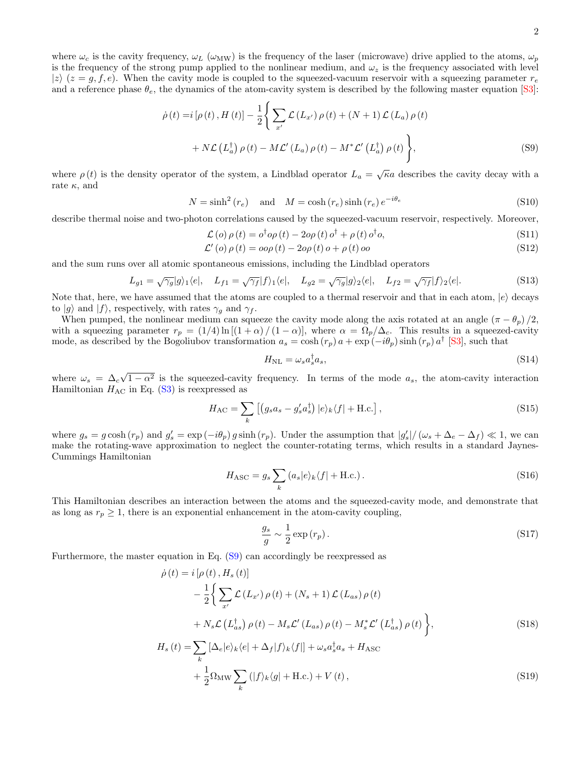where  $\omega_c$  is the cavity frequency,  $\omega_L$  ( $\omega_{\text{MW}}$ ) is the frequency of the laser (microwave) drive applied to the atoms,  $\omega_p$ is the frequency of the strong pump applied to the nonlinear medium, and  $\omega_z$  is the frequency associated with level  $|z\rangle$  ( $z = g, f, e$ ). When the cavity mode is coupled to the squeezed-vacuum reservoir with a squeezing parameter  $r_e$ and a reference phase  $\theta_e$ , the dynamics of the atom-cavity system is described by the following master equation [\[S3\]](#page-10-2):

$$
\dot{\rho}(t) = i [\rho(t), H(t)] - \frac{1}{2} \Bigg\{ \sum_{x'} \mathcal{L}(L_{x'}) \rho(t) + (N+1) \mathcal{L}(L_a) \rho(t) + N \mathcal{L}(L_a^{\dagger}) \rho(t) - M \mathcal{L}'(L_a) \rho(t) - M^* \mathcal{L}'(L_a^{\dagger}) \rho(t) \Bigg\},
$$
\n(S9)

where  $\rho(t)$  is the density operator of the system, a Lindblad operator  $L_a = \sqrt{\kappa}a$  describes the cavity decay with a rate  $\kappa$ , and

$$
N = \sinh^2(r_e) \quad \text{and} \quad M = \cosh(r_e)\sinh(r_e)e^{-i\theta_e} \tag{S10}
$$

describe thermal noise and two-photon correlations caused by the squeezed-vacuum reservoir, respectively. Moreover,

<span id="page-1-0"></span>
$$
\mathcal{L}(o) \rho(t) = o^{\dagger} o \rho(t) - 2 o \rho(t) o^{\dagger} + \rho(t) o^{\dagger} o,
$$
\n(S11)  
\n
$$
\mathcal{L}'(o) \rho(t) = o o \rho(t) - 2 o \rho(t) o + \rho(t) o o
$$
\n(S12)

and the sum runs over all atomic spontaneous emissions, including the Lindblad operators

$$
L_{g1} = \sqrt{\gamma_g} |g\rangle_1 \langle e|, \quad L_{f1} = \sqrt{\gamma_f} |f\rangle_1 \langle e|, \quad L_{g2} = \sqrt{\gamma_g} |g\rangle_2 \langle e|, \quad L_{f2} = \sqrt{\gamma_f} |f\rangle_2 \langle e|.
$$
 (S13)

Note that, here, we have assumed that the atoms are coupled to a thermal reservoir and that in each atom,  $|e\rangle$  decays to  $|g\rangle$  and  $|f\rangle$ , respectively, with rates  $\gamma_g$  and  $\gamma_f$ .

When pumped, the nonlinear medium can squeeze the cavity mode along the axis rotated at an angle  $(\pi - \theta_p)/2$ , with a squeezing parameter  $r_p = (1/4) \ln[(1+\alpha)/(1-\alpha)]$ , where  $\alpha = \Omega_p/\Delta_c$ . This results in a squeezed-cavity mode, as described by the Bogoliubov transformation  $a_s = \cosh(r_p) a + \exp(-i\theta_p) \sinh(r_p) a^{\dagger}$  [\[S3\]](#page-10-2), such that

<span id="page-1-3"></span><span id="page-1-2"></span>
$$
H_{\rm NL} = \omega_s a_s^{\dagger} a_s,\tag{S14}
$$

where  $\omega_s = \Delta_c$  $\sqrt{1-\alpha^2}$  is the squeezed-cavity frequency. In terms of the mode  $a_s$ , the atom-cavity interaction Hamiltonian  $H_{AC}$  in Eq. [\(S3\)](#page-0-0) is reexpressed as

$$
H_{\rm AC} = \sum_{k} \left[ \left( g_s a_s - g'_s a_s^{\dagger} \right) |e\rangle_k \langle f| + \text{H.c.} \right],\tag{S15}
$$

where  $g_s = g \cosh(r_p)$  and  $g'_s = \exp(-i\theta_p) g \sinh(r_p)$ . Under the assumption that  $|g'_s|/(\omega_s + \Delta_e - \Delta_f) \ll 1$ , we can make the rotating-wave approximation to neglect the counter-rotating terms, which results in a standard Jaynes-Cummings Hamiltonian

$$
H_{\rm ASC} = g_s \sum_k \left( a_s |e\rangle_k \langle f| + \text{H.c.} \right). \tag{S16}
$$

This Hamiltonian describes an interaction between the atoms and the squeezed-cavity mode, and demonstrate that as long as  $r_p \geq 1$ , there is an exponential enhancement in the atom-cavity coupling,

<span id="page-1-1"></span>
$$
\frac{g_s}{g} \sim \frac{1}{2} \exp\left(r_p\right). \tag{S17}
$$

Furthermore, the master equation in Eq. [\(S9\)](#page-1-0) can accordingly be reexpressed as

$$
\dot{\rho}(t) = i \left[ \rho(t), H_s(t) \right]
$$
  
\n
$$
- \frac{1}{2} \Biggl\{ \sum_{x'} \mathcal{L} \left( L_{x'} \right) \rho(t) + \left( N_s + 1 \right) \mathcal{L} \left( L_{as} \right) \rho(t)
$$
  
\n
$$
+ N_s \mathcal{L} \left( L_{as}^\dagger \right) \rho(t) - M_s \mathcal{L}' \left( L_{as} \right) \rho(t) - M_s^* \mathcal{L}' \left( L_{as}^\dagger \right) \rho(t) \Biggr\},
$$
\n(S18)  
\n
$$
H_s(t) = \sum_k \left[ \Delta_e |e\rangle_k \langle e| + \Delta_f |f\rangle_k \langle f| \right] + \omega_s a_s^\dagger a_s + H_{\text{ASC}}
$$

$$
+\frac{1}{2}\Omega_{\rm MW}\sum_{k}\left(|f\rangle_{k}\langle g|+\text{H.c.}\right)+V\left(t\right),\tag{S19}
$$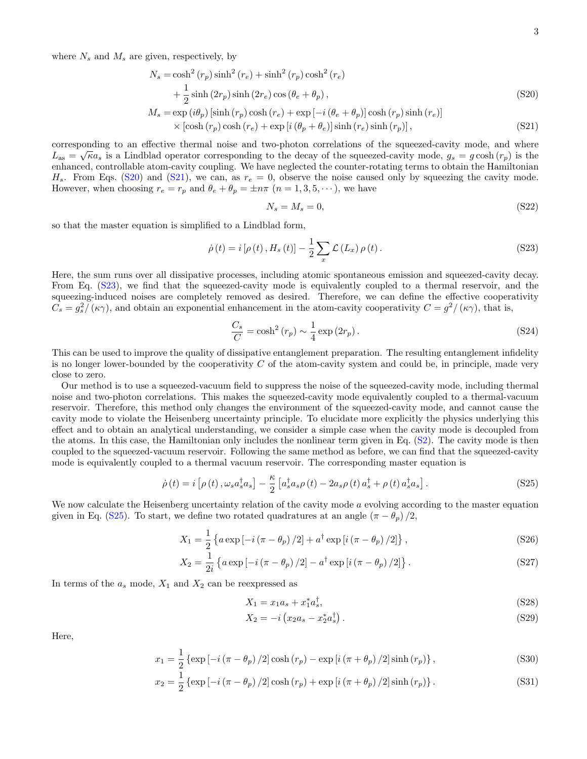where  $N_s$  and  $M_s$  are given, respectively, by

$$
N_s = \cosh^2(r_p)\sinh^2(r_e) + \sinh^2(r_p)\cosh^2(r_e)
$$
  
+  $\frac{1}{2}\sinh(2r_p)\sinh(2r_e)\cos(\theta_e + \theta_p)$ ,  

$$
M_s = \exp(i\theta_p)\sinh(r_p)\cosh(r_e) + \exp[-i(\theta_e + \theta_p)]\cosh(r_p)\sinh(r_e)]
$$
 (S20)

$$
\times \left[ \cosh(r_p) \cosh(r_e) + \exp\left[i(\theta_p + \theta_e)\right] \sinh(r_e) \sinh(r_p) \right],\tag{S21}
$$

corresponding to an effective thermal noise and two-photon correlations of the squeezed-cavity mode, and where  $L_{\text{as}} = \sqrt{\kappa}a_s$  is a Lindblad operator corresponding to the decay of the squeezed-cavity mode,  $g_s = g \cosh(r_p)$  is the enhanced, controllable atom-cavity coupling. We have neglected the counter-rotating terms to obtain the Hamiltonian  $H_s$ . From Eqs. [\(S20\)](#page-2-0) and [\(S21\)](#page-2-1), we can, as  $r_e = 0$ , observe the noise caused only by squeezing the cavity mode. However, when choosing  $r_e = r_p$  and  $\theta_e + \theta_p = \pm n\pi$   $(n = 1, 3, 5, \dots)$ , we have

<span id="page-2-2"></span><span id="page-2-1"></span><span id="page-2-0"></span>
$$
N_s = M_s = 0,\t\t(S22)
$$

so that the master equation is simplified to a Lindblad form,

$$
\dot{\rho}(t) = i [\rho(t), H_s(t)] - \frac{1}{2} \sum_{x} \mathcal{L}(L_x) \rho(t).
$$
 (S23)

Here, the sum runs over all dissipative processes, including atomic spontaneous emission and squeezed-cavity decay. From Eq. [\(S23\)](#page-2-2), we find that the squeezed-cavity mode is equivalently coupled to a thermal reservoir, and the squeezing-induced noises are completely removed as desired. Therefore, we can define the effective cooperativity  $C_s = g_s^2/(\kappa \gamma)$ , and obtain an exponential enhancement in the atom-cavity cooperativity  $C = g^2/(\kappa \gamma)$ , that is,

$$
\frac{C_s}{C} = \cosh^2\left(r_p\right) \sim \frac{1}{4} \exp\left(2r_p\right). \tag{S24}
$$

This can be used to improve the quality of dissipative entanglement preparation. The resulting entanglement infidelity is no longer lower-bounded by the cooperativity  $C$  of the atom-cavity system and could be, in principle, made very close to zero.

Our method is to use a squeezed-vacuum field to suppress the noise of the squeezed-cavity mode, including thermal noise and two-photon correlations. This makes the squeezed-cavity mode equivalently coupled to a thermal-vacuum reservoir. Therefore, this method only changes the environment of the squeezed-cavity mode, and cannot cause the cavity mode to violate the Heisenberg uncertainty principle. To elucidate more explicitly the physics underlying this effect and to obtain an analytical understanding, we consider a simple case when the cavity mode is decoupled from the atoms. In this case, the Hamiltonian only includes the nonlinear term given in Eq. [\(S2\)](#page-0-1). The cavity mode is then coupled to the squeezed-vacuum reservoir. Following the same method as before, we can find that the squeezed-cavity mode is equivalently coupled to a thermal vacuum reservoir. The corresponding master equation is

<span id="page-2-3"></span>
$$
\dot{\rho}(t) = i \left[ \rho(t) \, , \omega_s a_s^{\dagger} a_s \right] - \frac{\kappa}{2} \left[ a_s^{\dagger} a_s \rho(t) - 2a_s \rho(t) \, a_s^{\dagger} + \rho(t) \, a_s^{\dagger} a_s \right]. \tag{S25}
$$

We now calculate the Heisenberg uncertainty relation of the cavity mode a evolving according to the master equation given in Eq. [\(S25\)](#page-2-3). To start, we define two rotated quadratures at an angle  $(\pi - \theta_p)/2$ ,

$$
X_1 = \frac{1}{2} \left\{ a \exp \left[ -i \left( \pi - \theta_p \right) / 2 \right] + a^{\dagger} \exp \left[ i \left( \pi - \theta_p \right) / 2 \right] \right\},\tag{S26}
$$

$$
X_2 = \frac{1}{2i} \left\{ a \exp \left[ -i \left( \pi - \theta_p \right) / 2 \right] - a^{\dagger} \exp \left[ i \left( \pi - \theta_p \right) / 2 \right] \right\}.
$$
 (S27)

In terms of the  $a_s$  mode,  $X_1$  and  $X_2$  can be reexpressed as

$$
X_1 = x_1 a_s + x_1^* a_s^{\dagger}, \tag{S28}
$$

$$
X_2 = -i\left(x_2 a_s - x_2^* a_s^{\dagger}\right). \tag{S29}
$$

Here,

$$
x_1 = \frac{1}{2} \left\{ \exp\left[-i\left(\pi - \theta_p\right)/2\right] \cosh\left(r_p\right) - \exp\left[i\left(\pi + \theta_p\right)/2\right] \sinh\left(r_p\right) \right\},\tag{S30}
$$

$$
x_2 = \frac{1}{2} \left\{ \exp\left[-i\left(\pi - \theta_p\right)/2\right] \cosh\left(r_p\right) + \exp\left[i\left(\pi + \theta_p\right)/2\right] \sinh\left(r_p\right) \right\}.
$$
 (S31)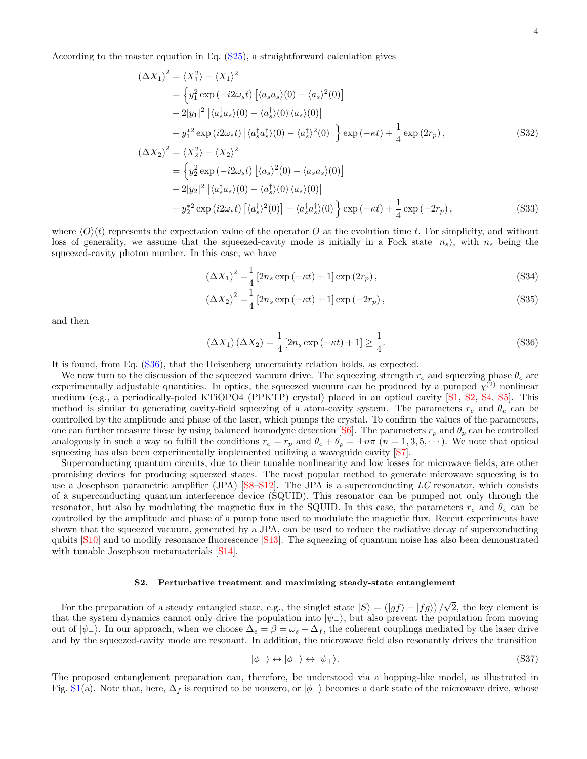According to the master equation in Eq. [\(S25\)](#page-2-3), a straightforward calculation gives

$$
(\Delta X_1)^2 = \langle X_1^2 \rangle - \langle X_1 \rangle^2
$$
  
= 
$$
\left\{ y_1^2 \exp(-i2\omega_s t) \left[ \langle a_s a_s \rangle (0) - \langle a_s \rangle^2 (0) \right] \right\}
$$
  
+ 
$$
2|y_1|^2 \left[ \langle a_s^\dagger a_s \rangle (0) - \langle a_s^\dagger \rangle (0) \langle a_s \rangle (0) \right]
$$
  
+ 
$$
y_1^{*2} \exp(i2\omega_s t) \left[ \langle a_s^\dagger a_s^\dagger \rangle (0) - \langle a_s^\dagger \rangle^2 (0) \right] \right\} \exp(-\kappa t) + \frac{1}{4} \exp(2r_p),
$$
  

$$
(\Delta X_2)^2 = \langle X_2^2 \rangle - \langle X_2 \rangle^2
$$
  
= 
$$
\left\{ y_2^2 \exp(-i2\omega_s t) \left[ \langle a_s \rangle^2 (0) - \langle a_s a_s \rangle (0) \right] \right\}
$$
  
+ 
$$
2|y_2|^2 \left[ \langle a_s^\dagger a_s \rangle (0) - \langle a_s^\dagger \rangle (0) \langle a_s \rangle (0) \right]
$$
 (18)

$$
+ y_2^{*2} \exp\left(i2\omega_s t\right) \left[\langle a_s^{\dagger} \rangle^2(0)\right] - \langle a_s^{\dagger} a_s^{\dagger} \rangle(0) \left.\right\} \exp\left(-\kappa t\right) + \frac{1}{4} \exp\left(-2r_p\right),\tag{S33}
$$

where  $\langle O \rangle(t)$  represents the expectation value of the operator O at the evolution time t. For simplicity, and without loss of generality, we assume that the squeezed-cavity mode is initially in a Fock state  $|n_s\rangle$ , with  $n_s$  being the squeezed-cavity photon number. In this case, we have

$$
\left(\Delta X_1\right)^2 = \frac{1}{4} \left[2n_s \exp\left(-\kappa t\right) + 1\right] \exp\left(2r_p\right),\tag{S34}
$$

$$
(\Delta X_2)^2 = \frac{1}{4} [2n_s \exp(-\kappa t) + 1] \exp(-2r_p),
$$
\n(S35)

and then

<span id="page-3-0"></span>
$$
\left(\Delta X_1\right)\left(\Delta X_2\right) = \frac{1}{4} \left[2n_s \exp\left(-\kappa t\right) + 1\right] \ge \frac{1}{4}.\tag{S36}
$$

It is found, from Eq. [\(S36\)](#page-3-0), that the Heisenberg uncertainty relation holds, as expected.

We now turn to the discussion of the squeezed vacuum drive. The squeezing strength  $r_e$  and squeezing phase  $\theta_e$  are experimentally adjustable quantities. In optics, the squeezed vacuum can be produced by a pumped  $\chi^{(2)}$  nonlinear medium (e.g., a periodically-poled KTiOPO4 (PPKTP) crystal) placed in an optical cavity [\[S1,](#page-10-0) [S2,](#page-10-1) [S4,](#page-10-3) [S5\]](#page-10-4). This method is similar to generating cavity-field squeezing of a atom-cavity system. The parameters  $r_e$  and  $\theta_e$  can be controlled by the amplitude and phase of the laser, which pumps the crystal. To confirm the values of the parameters, one can further measure these by using balanced homodyne detection [\[S6\]](#page-10-5). The parameters  $r_p$  and  $\theta_p$  can be controlled analogously in such a way to fulfill the conditions  $r_e = r_p$  and  $\theta_e + \theta_p = \pm n\pi$   $(n = 1, 3, 5, \dots)$ . We note that optical squeezing has also been experimentally implemented utilizing a waveguide cavity [\[S7\]](#page-10-6).

Superconducting quantum circuits, due to their tunable nonlinearity and low losses for microwave fields, are other promising devices for producing squeezed states. The most popular method to generate microwave squeezing is to use a Josephson parametric amplifier (JPA)  $[SS-S12]$  $[SS-S12]$ . The JPA is a superconducting LC resonator, which consists of a superconducting quantum interference device (SQUID). This resonator can be pumped not only through the resonator, but also by modulating the magnetic flux in the SQUID. In this case, the parameters  $r_e$  and  $\theta_e$  can be controlled by the amplitude and phase of a pump tone used to modulate the magnetic flux. Recent experiments have shown that the squeezed vacuum, generated by a JPA, can be used to reduce the radiative decay of superconducting qubits [\[S10\]](#page-10-9) and to modify resonance fluorescence [\[S13\]](#page-10-10). The squeezing of quantum noise has also been demonstrated with tunable Josephson metamaterials  $[S14]$ .

## S2. Perturbative treatment and maximizing steady-state entanglement

For the preparation of a steady entangled state, e.g., the singlet state  $|S\rangle = (|gf\rangle - |fg\rangle)/\langle g\rangle$ √ 2, the key element is that the system dynamics cannot only drive the population into  $|\psi_{-}\rangle$ , but also prevent the population from moving out of  $|\psi_-\rangle$ . In our approach, when we choose  $\Delta_e = \beta = \omega_s + \Delta_f$ , the coherent couplings mediated by the laser drive and by the squeezed-cavity mode are resonant. In addition, the microwave field also resonantly drives the transition

$$
|\phi_{-}\rangle \leftrightarrow |\phi_{+}\rangle \leftrightarrow |\psi_{+}\rangle. \tag{S37}
$$

The proposed entanglement preparation can, therefore, be understood via a hopping-like model, as illustrated in Fig. [S1\(](#page-4-0)a). Note that, here,  $\Delta_f$  is required to be nonzero, or  $|\phi_{-}\rangle$  becomes a dark state of the microwave drive, whose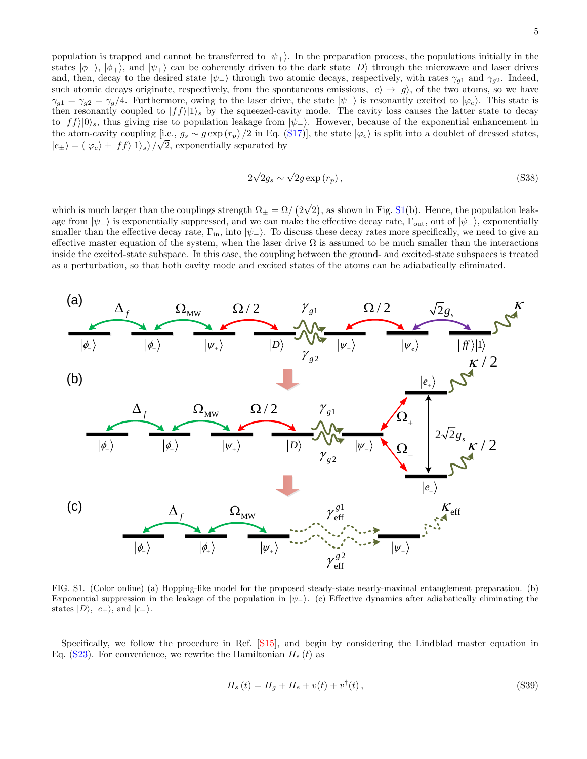population is trapped and cannot be transferred to  $|\psi_+\rangle$ . In the preparation process, the populations initially in the states  $|\phi_{-}\rangle$ ,  $|\phi_{+}\rangle$ , and  $|\psi_{+}\rangle$  can be coherently driven to the dark state  $|D\rangle$  through the microwave and laser drives and, then, decay to the desired state  $|\psi_-\rangle$  through two atomic decays, respectively, with rates  $\gamma_{g1}$  and  $\gamma_{g2}$ . Indeed, such atomic decays originate, respectively, from the spontaneous emissions,  $|e\rangle \rightarrow |g\rangle$ , of the two atoms, so we have  $\gamma_{g1} = \gamma_{g2} = \gamma_g/4$ . Furthermore, owing to the laser drive, the state  $|\psi_{-}\rangle$  is resonantly excited to  $|\varphi_e\rangle$ . This state is then resonantly coupled to  $|ff\rangle|1\rangle$ , by the squeezed-cavity mode. The cavity loss causes the latter state to decay to  $|f\hat{f}\rangle|0\rangle_s$ , thus giving rise to population leakage from  $|\psi_-\rangle$ . However, because of the exponential enhancement in the atom-cavity coupling [i.e.,  $g_s \sim g \exp(r_p)/2$  in Eq. [\(S17\)](#page-1-1)], the state  $|\varphi_e\rangle$  is split into a doublet of dressed states,  $|e_{\pm}\rangle = (|\varphi_e\rangle \pm |ff\rangle|1\rangle_s)/\sqrt{2}$ , exponentially separated by

$$
2\sqrt{2}g_s \sim \sqrt{2}g\exp\left(r_p\right),\tag{S38}
$$

which is much larger than the couplings strength  $\Omega_{\pm} = \Omega / (2)$ √  $\overline{2}$ , as shown in Fig. [S1\(](#page-4-0)b). Hence, the population leakage from  $|\psi_-\rangle$  is exponentially suppressed, and we can make the effective decay rate,  $\Gamma_{\text{out}}$ , out of  $|\psi_-\rangle$ , exponentially smaller than the effective decay rate,  $\Gamma_{\rm in}$ , into  $|\psi_{-}\rangle$ . To discuss these decay rates more specifically, we need to give an effective master equation of the system, when the laser drive  $\Omega$  is assumed to be much smaller than the interactions inside the excited-state subspace. In this case, the coupling between the ground- and excited-state subspaces is treated as a perturbation, so that both cavity mode and excited states of the atoms can be adiabatically eliminated.



<span id="page-4-0"></span>FIG. S1. (Color online) (a) Hopping-like model for the proposed steady-state nearly-maximal entanglement preparation. (b) Exponential suppression in the leakage of the population in  $|\psi_-\rangle$ . (c) Effective dynamics after adiabatically eliminating the states  $|D\rangle$ ,  $|e_{+}\rangle$ , and  $|e_{-}\rangle$ .

Specifically, we follow the procedure in Ref. [\[S15\]](#page-10-12), and begin by considering the Lindblad master equation in Eq.  $(S23)$ . For convenience, we rewrite the Hamiltonian  $H_s(t)$  as

$$
H_s(t) = H_g + H_e + v(t) + v^{\dagger}(t),
$$
\n(S39)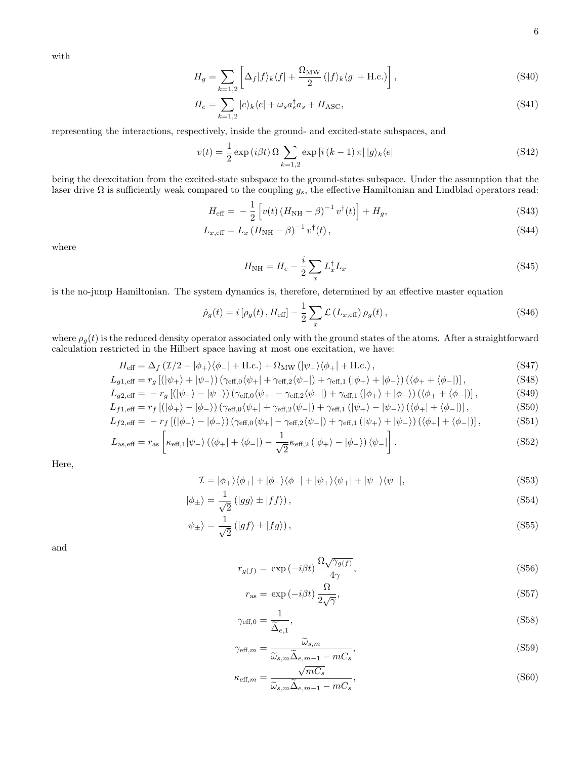with

$$
H_g = \sum_{k=1,2} \left[ \Delta_f |f\rangle_k \langle f| + \frac{\Omega_{\text{MW}}}{2} (|f\rangle_k \langle g| + \text{H.c.}) \right],\tag{S40}
$$

$$
H_e = \sum_{k=1,2} |e\rangle_k \langle e| + \omega_s a_s^\dagger a_s + H_{\text{ASC}},\tag{S41}
$$

representing the interactions, respectively, inside the ground- and excited-state subspaces, and

$$
v(t) = \frac{1}{2} \exp\left(i\beta t\right) \Omega \sum_{k=1,2} \exp\left[i\left(k-1\right)\pi\right] |g\rangle_k \langle e| \tag{S42}
$$

being the deexcitation from the excited-state subspace to the ground-states subspace. Under the assumption that the laser drive  $\Omega$  is sufficiently weak compared to the coupling  $g_s$ , the effective Hamiltonian and Lindblad operators read:

$$
H_{\text{eff}} = -\frac{1}{2} \left[ v(t) \left( H_{\text{NH}} - \beta \right)^{-1} v^{\dagger}(t) \right] + H_g, \tag{S43}
$$

$$
L_{x,\text{eff}} = L_x \left( H_{\text{NH}} - \beta \right)^{-1} v^\dagger(t) \,, \tag{S44}
$$

where

<span id="page-5-0"></span>
$$
H_{\rm NH} = H_e - \frac{i}{2} \sum_x L_x^{\dagger} L_x \tag{S45}
$$

is the no-jump Hamiltonian. The system dynamics is, therefore, determined by an effective master equation

$$
\dot{\rho}_g(t) = i \left[ \rho_g(t) \, , H_{\text{eff}} \right] - \frac{1}{2} \sum_x \mathcal{L} \left( L_{x,\text{eff}} \right) \rho_g(t) \,, \tag{S46}
$$

where  $\rho_g(t)$  is the reduced density operator associated only with the ground states of the atoms. After a straightforward calculation restricted in the Hilbert space having at most one excitation, we have:

$$
H_{\text{eff}} = \Delta_f \left( \mathcal{I}/2 - |\phi_+ \rangle \langle \phi_-| + \text{H.c.} \right) + \Omega_{\text{MW}} \left( |\psi_+ \rangle \langle \phi_+| + \text{H.c.} \right),\tag{S47}
$$

$$
L_{g1,\text{eff}} = r_g \left[ \left( |\psi_+ \rangle + |\psi_- \rangle \right) \left( \gamma_{\text{eff,0}} \langle \psi_+ | + \gamma_{\text{eff,2}} \langle \psi_- | \right) + \gamma_{\text{eff,1}} \left( |\phi_+ \rangle + |\phi_- \rangle \right) \left( \langle \phi_+ + \langle \phi_- | \right) \right],\tag{S48}
$$

$$
L_{g2, \text{eff}} = -r_g \left[ (\left| \psi_+ \right\rangle - \left| \psi_- \right\rangle \right) \left( \gamma_{\text{eff},0} \langle \psi_+ \right| - \gamma_{\text{eff},2} \langle \psi_- \right|) + \gamma_{\text{eff},1} \left( \left| \phi_+ \right\rangle + \left| \phi_- \right\rangle \right) \left( \langle \phi_+ + \langle \phi_- \right|) \right],\tag{S49}
$$

$$
L_{f1,\text{eff}} = r_f \left[ (|\phi_+ \rangle - |\phi_- \rangle) \left( \gamma_{\text{eff},0} \langle \psi_+ | + \gamma_{\text{eff},2} \langle \psi_- | \right) + \gamma_{\text{eff},1} \left( |\psi_+ \rangle - |\psi_- \rangle \right) \left( \langle \phi_+ | + \langle \phi_- | \right) \right],
$$
\n(S50)  
\n
$$
L_{f2,\text{eff}} = -r_f \left[ (|\phi_+ \rangle - |\phi_- \rangle) \left( \gamma_{\text{eff},0} \langle \psi_+ | - \gamma_{\text{eff},2} \langle \psi_- | \right) + \gamma_{\text{eff},1} \left( |\psi_+ \rangle + |\psi_- \rangle \right) \left( \langle \phi_+ | + \langle \phi_- | \right) \right],
$$
\n(S51)

$$
L_{\rm as,eff} = r_{\rm as} \left[ \kappa_{\rm eff,1} |\psi_{-}\rangle \left( \langle \phi_{+}| + \langle \phi_{-}| \right) - \frac{1}{\sqrt{2}} \kappa_{\rm eff,2} \left( |\phi_{+}\rangle - |\phi_{-}\rangle \right) \langle \psi_{-}| \right]. \tag{S52}
$$

Here,

$$
\mathcal{I} = |\phi_+\rangle\langle\phi_+| + |\phi_-\rangle\langle\phi_-| + |\psi_+\rangle\langle\psi_+| + |\psi_-\rangle\langle\psi_-|,\tag{S53}
$$

$$
|\phi_{\pm}\rangle = \frac{1}{\sqrt{2}} (|gg\rangle \pm |ff\rangle), \qquad (S54)
$$

$$
|\psi_{\pm}\rangle = \frac{1}{\sqrt{2}} (|gf\rangle \pm |fg\rangle), \qquad (S55)
$$

and

<span id="page-5-1"></span>
$$
r_{g(f)} = \exp(-i\beta t) \frac{\Omega \sqrt{\gamma_{g(f)}}}{4\gamma},\tag{S56}
$$

$$
r_{\rm as} = \exp(-i\beta t) \frac{\Omega}{2\sqrt{\gamma}},\tag{S57}
$$

$$
\gamma_{\text{eff},0} = \frac{1}{\widetilde{\Delta}_{e,1}},\tag{S58}
$$

$$
\gamma_{\text{eff},m} = \frac{\widetilde{\omega}_{s,m}}{\widetilde{\omega}_{s,m}\widetilde{\Delta}_{e,m-1} - mC_s},\tag{S59}
$$

$$
\kappa_{\text{eff},m} = \frac{\sqrt{mC_s}}{\widetilde{\omega}_{s,m}\widetilde{\Delta}_{e,m-1} - mC_s},\tag{S60}
$$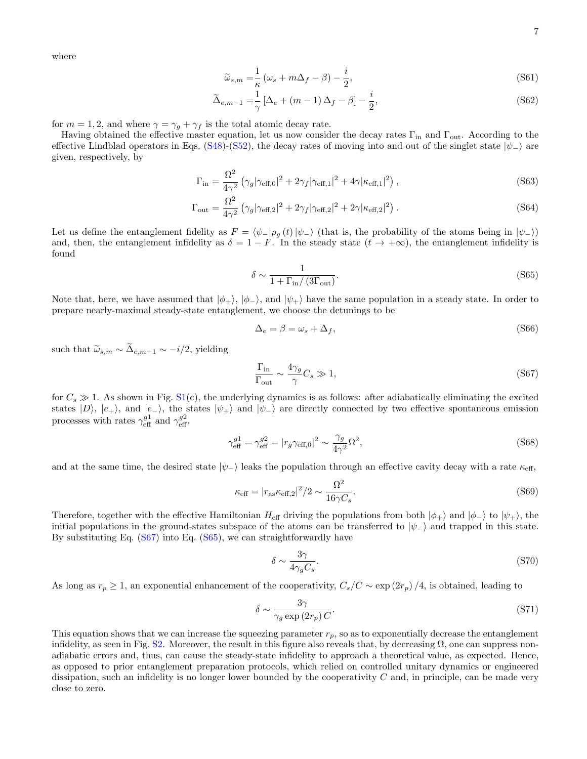where

$$
\widetilde{\omega}_{s,m} = \frac{1}{\kappa} \left( \omega_s + m \Delta_f - \beta \right) - \frac{i}{2},\tag{S61}
$$

$$
\widetilde{\Delta}_{e,m-1} = \frac{1}{\gamma} \left[ \Delta_e + (m-1)\Delta_f - \beta \right] - \frac{i}{2},\tag{S62}
$$

for  $m = 1, 2$ , and where  $\gamma = \gamma_g + \gamma_f$  is the total atomic decay rate.

Having obtained the effective master equation, let us now consider the decay rates  $\Gamma_{\rm in}$  and  $\Gamma_{\rm out}$ . According to the effective Lindblad operators in Eqs. [\(S48\)](#page-5-0)-[\(S52\)](#page-5-1), the decay rates of moving into and out of the singlet state  $|\psi_-\rangle$  are given, respectively, by

$$
\Gamma_{\rm in} = \frac{\Omega^2}{4\gamma^2} \left( \gamma_g |\gamma_{\rm eff,0}|^2 + 2\gamma_f |\gamma_{\rm eff,1}|^2 + 4\gamma |\kappa_{\rm eff,1}|^2 \right),\tag{S63}
$$

$$
\Gamma_{\text{out}} = \frac{\Omega^2}{4\gamma^2} \left( \gamma_g |\gamma_{\text{eff},2}|^2 + 2\gamma_f |\gamma_{\text{eff},2}|^2 + 2\gamma |\kappa_{\text{eff},2}|^2 \right). \tag{S64}
$$

Let us define the entanglement fidelity as  $F = \langle \psi_-|\rho_g(t)|\psi_-\rangle$  (that is, the probability of the atoms being in  $|\psi_-\rangle$ ) and, then, the entanglement infidelity as  $\delta = 1 - F$ . In the steady state  $(t \to +\infty)$ , the entanglement infidelity is found

<span id="page-6-1"></span>
$$
\delta \sim \frac{1}{1 + \Gamma_{\text{in}} / (3\Gamma_{\text{out}})}.\tag{S65}
$$

Note that, here, we have assumed that  $|\phi_+\rangle$ ,  $|\phi_-\rangle$ , and  $|\psi_+\rangle$  have the same population in a steady state. In order to prepare nearly-maximal steady-state entanglement, we choose the detunings to be

<span id="page-6-2"></span>
$$
\Delta_e = \beta = \omega_s + \Delta_f,\tag{S66}
$$

such that  $\widetilde{\omega}_{s,m} \sim \widetilde{\Delta}_{e,m-1} \sim -i/2$ , yielding

<span id="page-6-0"></span>
$$
\frac{\Gamma_{\rm in}}{\Gamma_{\rm out}} \sim \frac{4\gamma_g}{\gamma} C_s \gg 1,
$$
\n(S67)

for  $C_s \gg 1$ . As shown in Fig. [S1\(](#page-4-0)c), the underlying dynamics is as follows: after adiabatically eliminating the excited states  $|D\rangle$ ,  $|e_{+}\rangle$ , and  $|e_{-}\rangle$ , the states  $|\psi_{+}\rangle$  and  $|\psi_{-}\rangle$  are directly connected by two effective spontaneous emission processes with rates  $\gamma_{\text{eff}}^{g1}$  and  $\gamma_{\text{eff}}^{g2}$ ,

$$
\gamma_{\text{eff}}^{g1} = \gamma_{\text{eff}}^{g2} = |r_g \gamma_{\text{eff},0}|^2 \sim \frac{\gamma_g}{4\gamma^2} \Omega^2,\tag{S68}
$$

and at the same time, the desired state  $|\psi_{-}\rangle$  leaks the population through an effective cavity decay with a rate  $\kappa_{\text{eff}}$ ,

$$
\kappa_{\text{eff}} = |r_{\text{as}} \kappa_{\text{eff},2}|^2 / 2 \sim \frac{\Omega^2}{16 \gamma C_s}.
$$
\n(S69)

Therefore, together with the effective Hamiltonian  $H_{\text{eff}}$  driving the populations from both  $|\phi_+\rangle$  and  $|\phi_-\rangle$  to  $|\psi_+\rangle$ , the initial populations in the ground-states subspace of the atoms can be transferred to  $|\psi_-\rangle$  and trapped in this state. By substituting Eq. [\(S67\)](#page-6-0) into Eq. [\(S65\)](#page-6-1), we can straightforwardly have

$$
\delta \sim \frac{3\gamma}{4\gamma_g C_s}.\tag{S70}
$$

As long as  $r_p \ge 1$ , an exponential enhancement of the cooperativity,  $C_s/C \sim \exp(2r_p)/4$ , is obtained, leading to

$$
\delta \sim \frac{3\gamma}{\gamma_g \exp(2r_p) C}.\tag{S71}
$$

This equation shows that we can increase the squeezing parameter  $r_p$ , so as to exponentially decrease the entanglement infidelity, as seen in Fig. [S2.](#page-7-0) Moreover, the result in this figure also reveals that, by decreasing  $\Omega$ , one can suppress nonadiabatic errors and, thus, can cause the steady-state infidelity to approach a theoretical value, as expected. Hence, as opposed to prior entanglement preparation protocols, which relied on controlled unitary dynamics or engineered dissipation, such an infidelity is no longer lower bounded by the cooperativity  $C$  and, in principle, can be made very close to zero.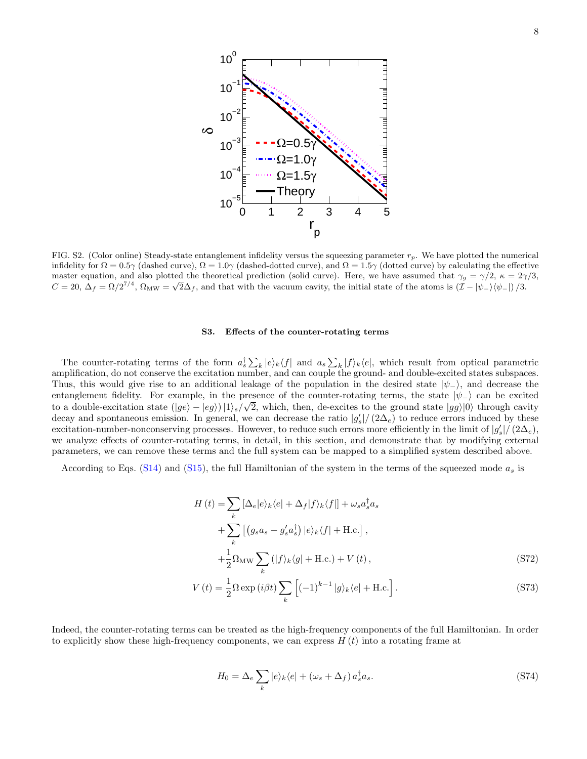

<span id="page-7-0"></span>FIG. S2. (Color online) Steady-state entanglement infidelity versus the squeezing parameter  $r_p$ . We have plotted the numerical infidelity for  $\Omega = 0.5\gamma$  (dashed curve),  $\Omega = 1.0\gamma$  (dashed-dotted curve), and  $\Omega = 1.5\gamma$  (dotted curve) by calculating the effective master equation, and also plotted the theoretical prediction (solid curve). Here, we have assumed that  $\gamma_g = \gamma/2$ ,  $\kappa = 2\gamma/3$ ,  $C = 20$ ,  $\Delta_f = \Omega/2^{7/4}$ ,  $\Omega_{\text{MW}} = \sqrt{2}\Delta_f$ , and that with the vacuum cavity, the initial state of the atoms is  $(\mathcal{I} - |\psi_-\rangle\langle\psi_-\rangle)/3$ .

## S3. Effects of the counter-rotating terms

The counter-rotating terms of the form  $a_s^{\dagger} \sum_k |e\rangle_k \langle f|$  and  $a_s \sum_k |f\rangle_k \langle e|$ , which result from optical parametric amplification, do not conserve the excitation number, and can couple the ground- and double-excited states subspaces. Thus, this would give rise to an additional leakage of the population in the desired state  $|\psi_{-}\rangle$ , and decrease the entanglement fidelity. For example, in the presence of the counter-rotating terms, the state  $|\psi_{-}\rangle$  can be excited to a double-excitation state  $(|ge\rangle - |eg\rangle)|1\rangle_s/\sqrt{2}$ , which, then, de-excites to the ground state  $|gg\rangle|0\rangle$  through cavity decay and spontaneous emission. In general, we can decrease the ratio  $|g_s'|/(2\Delta_e)$  to reduce errors induced by these excitation-number-nonconserving processes. However, to reduce such errors more efficiently in the limit of  $|g'_s|/(2\Delta_e)$ , we analyze effects of counter-rotating terms, in detail, in this section, and demonstrate that by modifying external parameters, we can remove these terms and the full system can be mapped to a simplified system described above.

According to Eqs. [\(S14\)](#page-1-2) and [\(S15\)](#page-1-3), the full Hamiltonian of the system in the terms of the squeezed mode  $a_s$  is

$$
H(t) = \sum_{k} \left[ \Delta_e |e\rangle_k \langle e| + \Delta_f |f\rangle_k \langle f| \right] + \omega_s a_s^{\dagger} a_s
$$
  
+ 
$$
\sum_{k} \left[ \left( g_s a_s - g'_s a_s^{\dagger} \right) |e\rangle_k \langle f| + \text{H.c.} \right],
$$
  
+ 
$$
\frac{1}{2} \Omega_{\text{MW}} \sum_{k} (|f\rangle_k \langle g| + \text{H.c.}) + V(t),
$$
 (S72)

$$
V(t) = \frac{1}{2} \Omega \exp\left(i\beta t\right) \sum_{k} \left[ (-1)^{k-1} |g\rangle_{k} \langle e| + \text{H.c.} \right]. \tag{S73}
$$

Indeed, the counter-rotating terms can be treated as the high-frequency components of the full Hamiltonian. In order to explicitly show these high-frequency components, we can express  $H(t)$  into a rotating frame at

$$
H_0 = \Delta_e \sum_k |e\rangle_k \langle e| + (\omega_s + \Delta_f) a_s^{\dagger} a_s. \tag{S74}
$$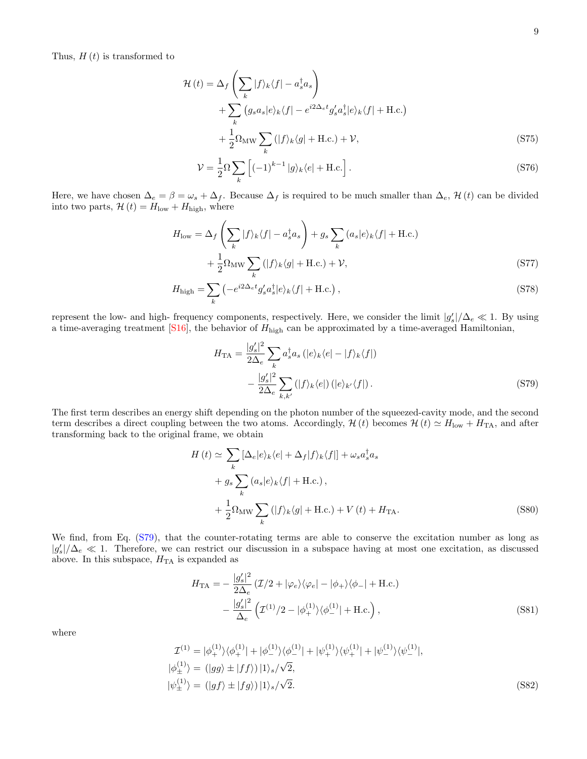Thus,  $H(t)$  is transformed to

$$
\mathcal{H}(t) = \Delta_f \left( \sum_k |f\rangle_k \langle f| - a_s^\dagger a_s \right) \n+ \sum_k \left( g_s a_s |e\rangle_k \langle f| - e^{i2\Delta_c t} g'_s a_s^\dagger |e\rangle_k \langle f| + \text{H.c.} \right) \n+ \frac{1}{2} \Omega_{\text{MW}} \sum_k \left( |f\rangle_k \langle g| + \text{H.c.} \right) + \mathcal{V},
$$
\n(S75)

$$
\mathcal{V} = \frac{1}{2}\Omega \sum_{k} \left[ (-1)^{k-1} |g\rangle_{k} \langle e| + \text{H.c.} \right]. \tag{S76}
$$

Here, we have chosen  $\Delta_e = \beta = \omega_s + \Delta_f$ . Because  $\Delta_f$  is required to be much smaller than  $\Delta_e$ , H(t) can be divided into two parts,  $\mathcal{H}(t) = H_{\text{low}} + H_{\text{high}}$ , where

$$
H_{\text{low}} = \Delta_f \left( \sum_k |f\rangle_k \langle f| - a_s^\dagger a_s \right) + g_s \sum_k (a_s |e\rangle_k \langle f| + \text{H.c.})
$$

$$
+ \frac{1}{2} \Omega_{\text{MW}} \sum_k (|f\rangle_k \langle g| + \text{H.c.}) + \mathcal{V}, \tag{S77}
$$

$$
H_{\text{high}} = \sum_{k} \left( -e^{i2\Delta_e t} g_s' a_s^{\dagger} |e\rangle_k \langle f| + \text{H.c.} \right),\tag{S78}
$$

represent the low- and high- frequency components, respectively. Here, we consider the limit  $|g_s'|/\Delta_e \ll 1$ . By using a time-averaging treatment  $[S16]$ , the behavior of  $H_{\text{high}}$  can be approximated by a time-averaged Hamiltonian,

<span id="page-8-0"></span>
$$
H_{\text{TA}} = \frac{|g_s'|^2}{2\Delta_e} \sum_k a_s^{\dagger} a_s \left( |e\rangle_k \langle e| - |f\rangle_k \langle f| \right)
$$

$$
- \frac{|g_s'|^2}{2\Delta_e} \sum_{k,k'} \left( |f\rangle_k \langle e| \right) \left( |e\rangle_{k'} \langle f| \right). \tag{S79}
$$

The first term describes an energy shift depending on the photon number of the squeezed-cavity mode, and the second term describes a direct coupling between the two atoms. Accordingly,  $\mathcal{H}(t)$  becomes  $\mathcal{H}(t) \simeq H_{\text{low}} + H_{\text{TA}}$ , and after transforming back to the original frame, we obtain

<span id="page-8-2"></span>
$$
H(t) \simeq \sum_{k} [\Delta_e |e\rangle_k \langle e| + \Delta_f |f\rangle_k \langle f|] + \omega_s a_s^{\dagger} a_s
$$
  
+  $g_s \sum_{k} (a_s |e\rangle_k \langle f| + \text{H.c.}),$   
+  $\frac{1}{2} \Omega_{\text{MW}} \sum_{k} (|f\rangle_k \langle g| + \text{H.c.}) + V(t) + H_{\text{TA}}.$  (S80)

We find, from Eq. [\(S79\)](#page-8-0), that the counter-rotating terms are able to conserve the excitation number as long as  $|g'_s|/\Delta_e \ll 1$ . Therefore, we can restrict our discussion in a subspace having at most one excitation, as discussed above. In this subspace,  $H<sub>TA</sub>$  is expanded as

<span id="page-8-1"></span>
$$
H_{\text{TA}} = -\frac{|g_s'|^2}{2\Delta_e} (\mathcal{I}/2 + |\varphi_e\rangle\langle\varphi_e| - |\phi_+\rangle\langle\phi_-| + \text{H.c.})
$$

$$
-\frac{|g_s'|^2}{\Delta_e} (\mathcal{I}^{(1)}/2 - |\phi_+^{(1)}\rangle\langle\phi_-^{(1)}| + \text{H.c.}), \tag{S81}
$$

where

$$
\mathcal{I}^{(1)} = |\phi_{+}^{(1)}\rangle\langle\phi_{+}^{(1)}| + |\phi_{-}^{(1)}\rangle\langle\phi_{-}^{(1)}| + |\psi_{+}^{(1)}\rangle\langle\psi_{+}^{(1)}| + |\psi_{-}^{(1)}\rangle\langle\psi_{-}^{(1)}|,
$$
  
\n
$$
|\phi_{\pm}^{(1)}\rangle = (|gg\rangle \pm |ff\rangle)|1\rangle_{s}/\sqrt{2},
$$
  
\n
$$
|\psi_{\pm}^{(1)}\rangle = (|gf\rangle \pm |fg\rangle)|1\rangle_{s}/\sqrt{2}.
$$
\n(S82)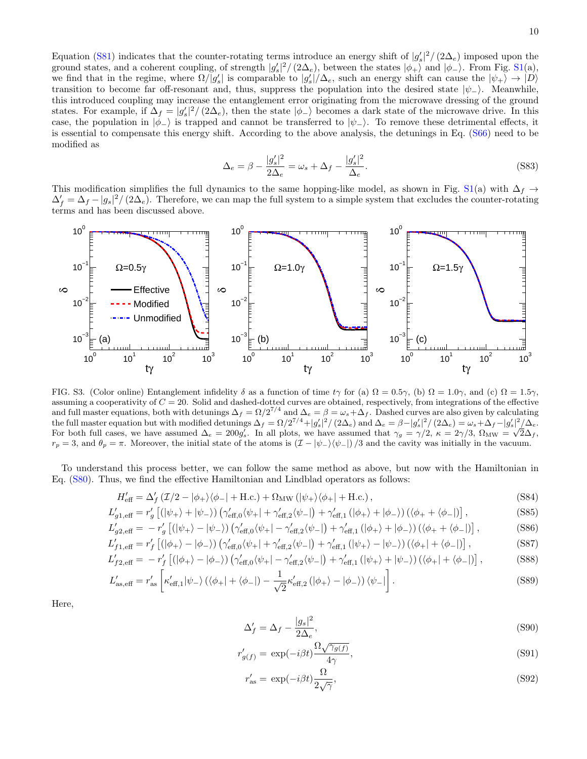Equation [\(S81\)](#page-8-1) indicates that the counter-rotating terms introduce an energy shift of  $|g_s'|^2/(2\Delta_e)$  imposed upon the ground states, and a coherent coupling, of strength  $|g_s'|^2/(2\Delta_e)$ , between the states  $|\phi_+\rangle$  and  $|\phi_-\rangle$ . From Fig. [S1\(](#page-4-0)a), we find that in the regime, where  $\Omega/|g_s'|$  is comparable to  $|g_s'|/\Delta_e$ , such an energy shift can cause the  $|\psi_+\rangle \to |D\rangle$ transition to become far off-resonant and, thus, suppress the population into the desired state  $|\psi_-\rangle$ . Meanwhile, this introduced coupling may increase the entanglement error originating from the microwave dressing of the ground states. For example, if  $\Delta_f = |g_s'|^2/(2\Delta_e)$ , then the state  $|\phi_{-}\rangle$  becomes a dark state of the microwave drive. In this case, the population in  $|\phi_{-}\rangle$  is trapped and cannot be transferred to  $|\psi_{-}\rangle$ . To remove these detrimental effects, it is essential to compensate this energy shift. According to the above analysis, the detunings in Eq. [\(S66\)](#page-6-2) need to be modified as

<span id="page-9-0"></span>
$$
\Delta_e = \beta - \frac{|g_s'|^2}{2\Delta_e} = \omega_s + \Delta_f - \frac{|g_s'|^2}{\Delta_e}.
$$
\n(S83)

This modification simplifies the full dynamics to the same hopping-like model, as shown in Fig. [S1\(](#page-4-0)a) with  $\Delta_f \rightarrow$  $\Delta'_f = \Delta_f - |g_s|^2 / (2\Delta_e)$ . Therefore, we can map the full system to a simple system that excludes the counter-rotating terms and has been discussed above.



<span id="page-9-1"></span>FIG. S3. (Color online) Entanglement infidelity  $\delta$  as a function of time tγ for (a)  $\Omega = 0.5\gamma$ , (b)  $\Omega = 1.0\gamma$ , and (c)  $\Omega = 1.5\gamma$ , assuming a cooperativity of  $C = 20$ . Solid and dashed-dotted curves are obtained, respectively, from integrations of the effective and full master equations, both with detunings  $\Delta_f = \Omega/2^{7/4}$  and  $\Delta_e = \beta = \omega_s + \Delta_f$ . Dashed curves are also given by calculating the full master equation but with modified detunings  $\Delta_f = \Omega/2^{7/4} + |g_s'|^2 / (2\Delta_e)$  and  $\Delta_e = \beta - |g_s'|^2 / (2\Delta_e) = \omega_s + \Delta_f - |g_s'|^2 / (\Delta_e)$ For both full cases, we have assumed  $\Delta_e = 200 g_s'$ . In all plots, we have assumed that  $\gamma_g = \gamma/2$ ,  $\kappa = 2\gamma/3$ ,  $\Omega_{\text{MW}} = \sqrt{2}\Delta_f$ ,  $r_p = 3$ , and  $\theta_p = \pi$ . Moreover, the initial state of the atoms is  $(\mathcal{I} - |\psi_-\rangle\langle\psi_-\rangle)/3$  and the cavity was initially in the vacuum.

To understand this process better, we can follow the same method as above, but now with the Hamiltonian in Eq. [\(S80\)](#page-8-2). Thus, we find the effective Hamiltonian and Lindblad operators as follows:

$$
H'_{\text{eff}} = \Delta'_f \left( \mathcal{I}/2 - |\phi_+ \rangle \langle \phi_-| + \text{H.c.} \right) + \Omega_{\text{MW}} \left( |\psi_+ \rangle \langle \phi_+| + \text{H.c.} \right),\tag{S84}
$$

$$
L'_{g1,\text{eff}} = r'_g \left[ (|\psi_+ \rangle + |\psi_- \rangle) \left( \gamma'_{\text{eff,0}} \langle \psi_+ | + \gamma'_{\text{eff,2}} \langle \psi_- | \right) + \gamma'_{\text{eff,1}} \left( |\phi_+ \rangle + |\phi_- \rangle \right) \left( \langle \phi_+ + \langle \phi_- | \right) \right],\tag{S85}
$$

$$
L'_{g2,\text{eff}} = -r'_{g} \left[ \left( |\psi_{+}\rangle - |\psi_{-}\rangle \right) \left( \gamma'_{\text{eff,0}} \langle \psi_{+}| - \gamma'_{\text{eff,2}} \langle \psi_{-}| \right) + \gamma'_{\text{eff,1}} \left( |\phi_{+}\rangle + |\phi_{-}\rangle \right) \left( \langle \phi_{+} + \langle \phi_{-}| \right) \right], \tag{S86}
$$

$$
L'_{f1, \text{eff}} = r'_{f} \left[ (|\phi_{+}\rangle - |\phi_{-}\rangle) \left( \gamma'_{\text{eff},0} \langle \psi_{+}| + \gamma'_{\text{eff},2} \langle \psi_{-}| \right) + \gamma'_{\text{eff},1} \left( |\psi_{+}\rangle - |\psi_{-}\rangle \right) \left( \langle \phi_{+}| + \langle \phi_{-}| \right) \right], \tag{S87}
$$

$$
L'_{f2,\text{eff}} = -r'_{f} \left[ (|\phi_{+}\rangle - |\phi_{-}\rangle) \left( \gamma'_{\text{eff,0}} \langle \psi_{+}| - \gamma'_{\text{eff,2}} \langle \psi_{-}| \right) + \gamma'_{\text{eff,1}} \left( |\psi_{+}\rangle + |\psi_{-}\rangle \right) \left( \langle \phi_{+}| + \langle \phi_{-}| \right) \right], \tag{S88}
$$

$$
L'_{\rm as,eff} = r'_{\rm as} \left[ \kappa'_{\rm eff,1} |\psi_{-}\rangle \left( \langle \phi_{+}| + \langle \phi_{-}| \right) - \frac{1}{\sqrt{2}} \kappa'_{\rm eff,2} \left( |\phi_{+}\rangle - |\phi_{-}\rangle \right) \langle \psi_{-}| \right]. \tag{S89}
$$

Here,

$$
\Delta'_f = \Delta_f - \frac{|g_s|^2}{2\Delta_e},\tag{S90}
$$

$$
r'_{g(f)} = \exp(-i\beta t) \frac{\Omega \sqrt{\gamma_{g(f)}}}{4\gamma},\tag{S91}
$$

$$
r'_{\rm as} = \exp(-i\beta t) \frac{\Omega}{2\sqrt{\gamma}},\tag{S92}
$$